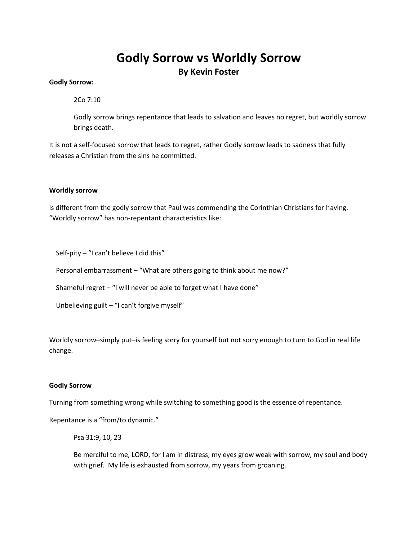# **Godly Sorrow vs Worldly Sorrow By Kevin Foster**

## **Godly Sorrow:**

2Co 7:10

Godly sorrow brings repentance that leads to salvation and leaves no regret, but worldly sorrow brings death.

It is not a self-focused sorrow that leads to regret, rather Godly sorrow leads to sadness that fully releases a Christian from the sins he committed.

### **Worldly sorrow**

Is different from the godly sorrow that Paul was commending the Corinthian Christians for having. "Worldly sorrow" has non-repentant characteristics like:

Self-pity – "I can't believe I did this"

Personal embarrassment – "What are others going to think about me now?"

Shameful regret – "I will never be able to forget what I have done"

Unbelieving guilt – "I can't forgive myself"

Worldly sorrow–simply put–is feeling sorry for yourself but not sorry enough to turn to God in real life change.

#### **Godly Sorrow**

Turning from something wrong while switching to something good is the essence of repentance.

Repentance is a "from/to dynamic."

Psa 31:9, 10, 23

Be merciful to me, LORD, for I am in distress; my eyes grow weak with sorrow, my soul and body with grief. My life is exhausted from sorrow, my years from groaning.